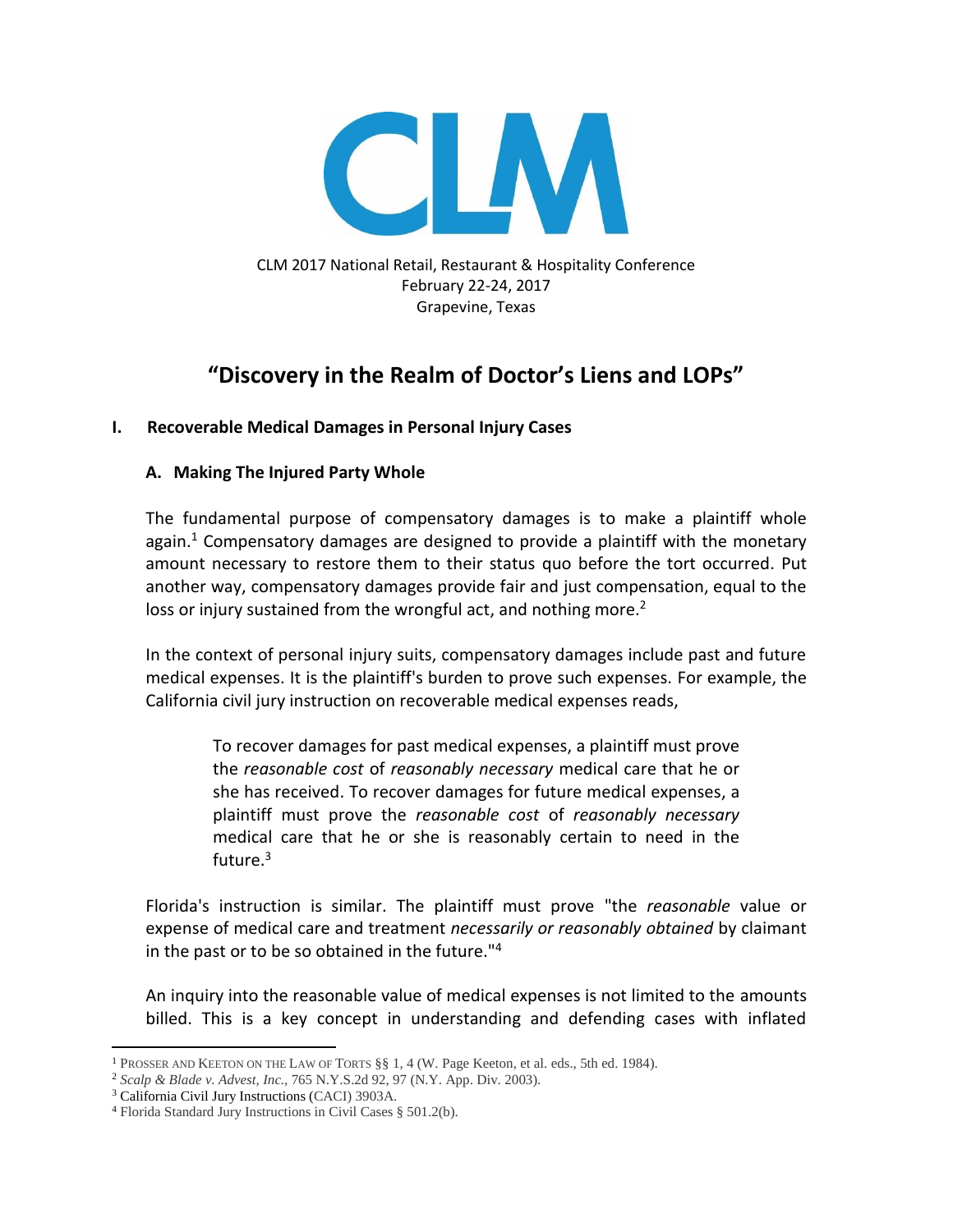

CLM 2017 National Retail, Restaurant & Hospitality Conference February 22-24, 2017 Grapevine, Texas

# **"Discovery in the Realm of Doctor's Liens and LOPs"**

# **I. Recoverable Medical Damages in Personal Injury Cases**

# **A. Making The Injured Party Whole**

The fundamental purpose of compensatory damages is to make a plaintiff whole again.<sup>1</sup> Compensatory damages are designed to provide a plaintiff with the monetary amount necessary to restore them to their status quo before the tort occurred. Put another way, compensatory damages provide fair and just compensation, equal to the loss or injury sustained from the wrongful act, and nothing more.<sup>2</sup>

In the context of personal injury suits, compensatory damages include past and future medical expenses. It is the plaintiff's burden to prove such expenses. For example, the California civil jury instruction on recoverable medical expenses reads,

To recover damages for past medical expenses, a plaintiff must prove the *reasonable cost* of *reasonably necessary* medical care that he or she has received. To recover damages for future medical expenses, a plaintiff must prove the *reasonable cost* of *reasonably necessary* medical care that he or she is reasonably certain to need in the future.<sup>3</sup>

Florida's instruction is similar. The plaintiff must prove "the *reasonable* value or expense of medical care and treatment *necessarily or reasonably obtained* by claimant in the past or to be so obtained in the future."<sup>4</sup>

An inquiry into the reasonable value of medical expenses is not limited to the amounts billed. This is a key concept in understanding and defending cases with inflated

 $\overline{\phantom{a}}$ <sup>1</sup> PROSSER AND KEETON ON THE LAW OF TORTS §§ 1, 4 (W. Page Keeton, et al. eds., 5th ed. 1984).

<sup>2</sup> *Scalp & Blade v. Advest, Inc.,* 765 N.Y.S.2d 92, 97 (N.Y. App. Div. 2003).

<sup>3</sup> California Civil Jury Instructions (CACI) 3903A.

<sup>4</sup> Florida Standard Jury Instructions in Civil Cases § 501.2(b).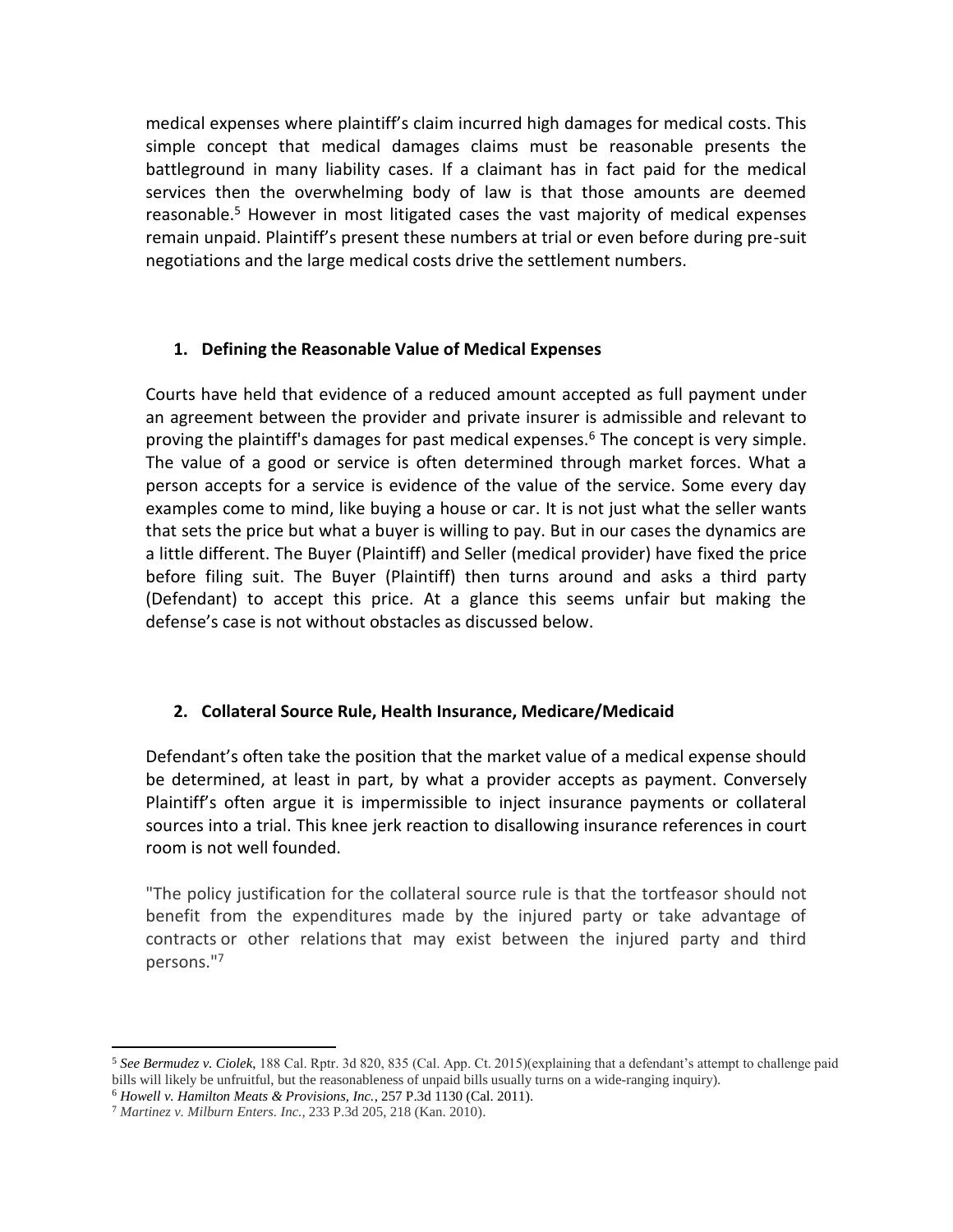medical expenses where plaintiff's claim incurred high damages for medical costs. This simple concept that medical damages claims must be reasonable presents the battleground in many liability cases. If a claimant has in fact paid for the medical services then the overwhelming body of law is that those amounts are deemed reasonable.<sup>5</sup> However in most litigated cases the vast majority of medical expenses remain unpaid. Plaintiff's present these numbers at trial or even before during pre-suit negotiations and the large medical costs drive the settlement numbers.

## **1. Defining the Reasonable Value of Medical Expenses**

Courts have held that evidence of a reduced amount accepted as full payment under an agreement between the provider and private insurer is admissible and relevant to proving the plaintiff's damages for past medical expenses.<sup>6</sup> The concept is very simple. The value of a good or service is often determined through market forces. What a person accepts for a service is evidence of the value of the service. Some every day examples come to mind, like buying a house or car. It is not just what the seller wants that sets the price but what a buyer is willing to pay. But in our cases the dynamics are a little different. The Buyer (Plaintiff) and Seller (medical provider) have fixed the price before filing suit. The Buyer (Plaintiff) then turns around and asks a third party (Defendant) to accept this price. At a glance this seems unfair but making the defense's case is not without obstacles as discussed below.

# **2. Collateral Source Rule, Health Insurance, Medicare/Medicaid**

Defendant's often take the position that the market value of a medical expense should be determined, at least in part, by what a provider accepts as payment. Conversely Plaintiff's often argue it is impermissible to inject insurance payments or collateral sources into a trial. This knee jerk reaction to disallowing insurance references in court room is not well founded.

"The policy justification for the collateral source rule is that the tortfeasor should not benefit from the expenditures made by the injured party or take advantage of contracts or other relations that may exist between the injured party and third persons."<sup>7</sup>

<sup>5</sup> *See Bermudez v. Ciolek*, 188 Cal. Rptr. 3d 820, 835 (Cal. App. Ct. 2015)(explaining that a defendant's attempt to challenge paid bills will likely be unfruitful, but the reasonableness of unpaid bills usually turns on a wide-ranging inquiry).

<sup>6</sup> *Howell v. Hamilton Meats & Provisions, Inc.*, 257 P.3d 1130 (Cal. 2011).

<sup>7</sup> *Martinez v. Milburn Enters. Inc.,* 233 P.3d 205, 218 (Kan. 2010).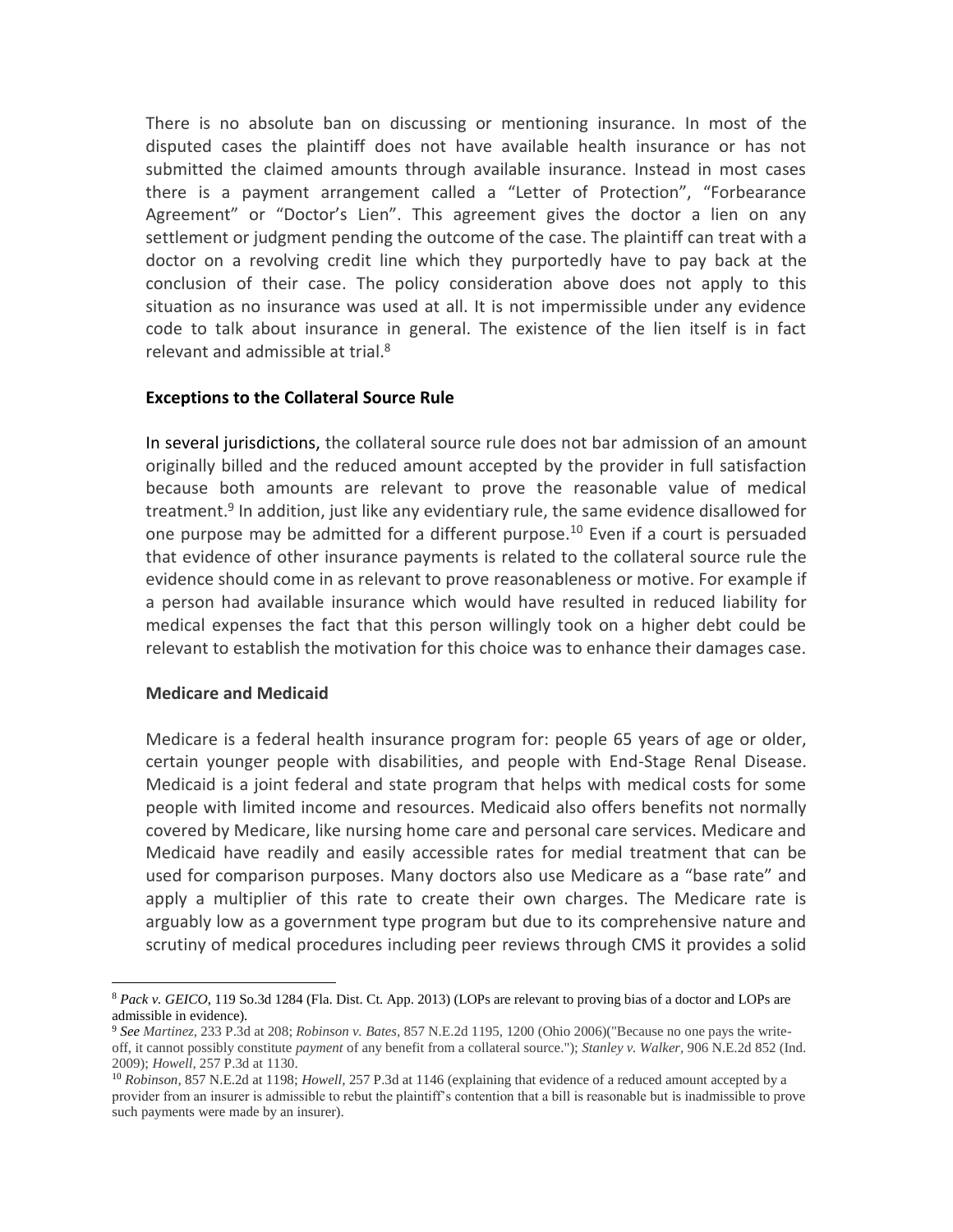There is no absolute ban on discussing or mentioning insurance. In most of the disputed cases the plaintiff does not have available health insurance or has not submitted the claimed amounts through available insurance. Instead in most cases there is a payment arrangement called a "Letter of Protection", "Forbearance Agreement" or "Doctor's Lien". This agreement gives the doctor a lien on any settlement or judgment pending the outcome of the case. The plaintiff can treat with a doctor on a revolving credit line which they purportedly have to pay back at the conclusion of their case. The policy consideration above does not apply to this situation as no insurance was used at all. It is not impermissible under any evidence code to talk about insurance in general. The existence of the lien itself is in fact relevant and admissible at trial.<sup>8</sup>

#### **Exceptions to the Collateral Source Rule**

In several jurisdictions, the collateral source rule does not bar admission of an amount originally billed and the reduced amount accepted by the provider in full satisfaction because both amounts are relevant to prove the reasonable value of medical treatment.<sup>9</sup> In addition, just like any evidentiary rule, the same evidence disallowed for one purpose may be admitted for a different purpose.<sup>10</sup> Even if a court is persuaded that evidence of other insurance payments is related to the collateral source rule the evidence should come in as relevant to prove reasonableness or motive. For example if a person had available insurance which would have resulted in reduced liability for medical expenses the fact that this person willingly took on a higher debt could be relevant to establish the motivation for this choice was to enhance their damages case.

#### **Medicare and Medicaid**

 $\overline{\phantom{a}}$ 

Medicare is a federal health insurance program for: people 65 years of age or older, certain younger people with disabilities, and people with End-Stage Renal Disease. Medicaid is a joint federal and state program that helps with medical costs for some people with limited income and resources. Medicaid also offers benefits not normally covered by Medicare, like nursing home care and personal care services. Medicare and Medicaid have readily and easily accessible rates for medial treatment that can be used for comparison purposes. Many doctors also use Medicare as a "base rate" and apply a multiplier of this rate to create their own charges. The Medicare rate is arguably low as a government type program but due to its comprehensive nature and scrutiny of medical procedures including peer reviews through CMS it provides a solid

<sup>8</sup> *Pack v. GEICO*, 119 So.3d 1284 (Fla. Dist. Ct. App. 2013) (LOPs are relevant to proving bias of a doctor and LOPs are admissible in evidence).

<sup>9</sup> *See Martinez,* 233 P.3d at 208; *Robinson v. Bates,* 857 N.E.2d 1195, 1200 (Ohio 2006)("Because no one pays the writeoff, it cannot possibly constitute *payment* of any benefit from a collateral source."); *Stanley v. Walker,* 906 N.E.2d 852 (Ind. 2009); *Howell,* 257 P.3d at 1130.

<sup>10</sup> *Robinson,* 857 N.E.2d at 1198; *Howell,* 257 P.3d at 1146 (explaining that evidence of a reduced amount accepted by a provider from an insurer is admissible to rebut the plaintiff's contention that a bill is reasonable but is inadmissible to prove such payments were made by an insurer).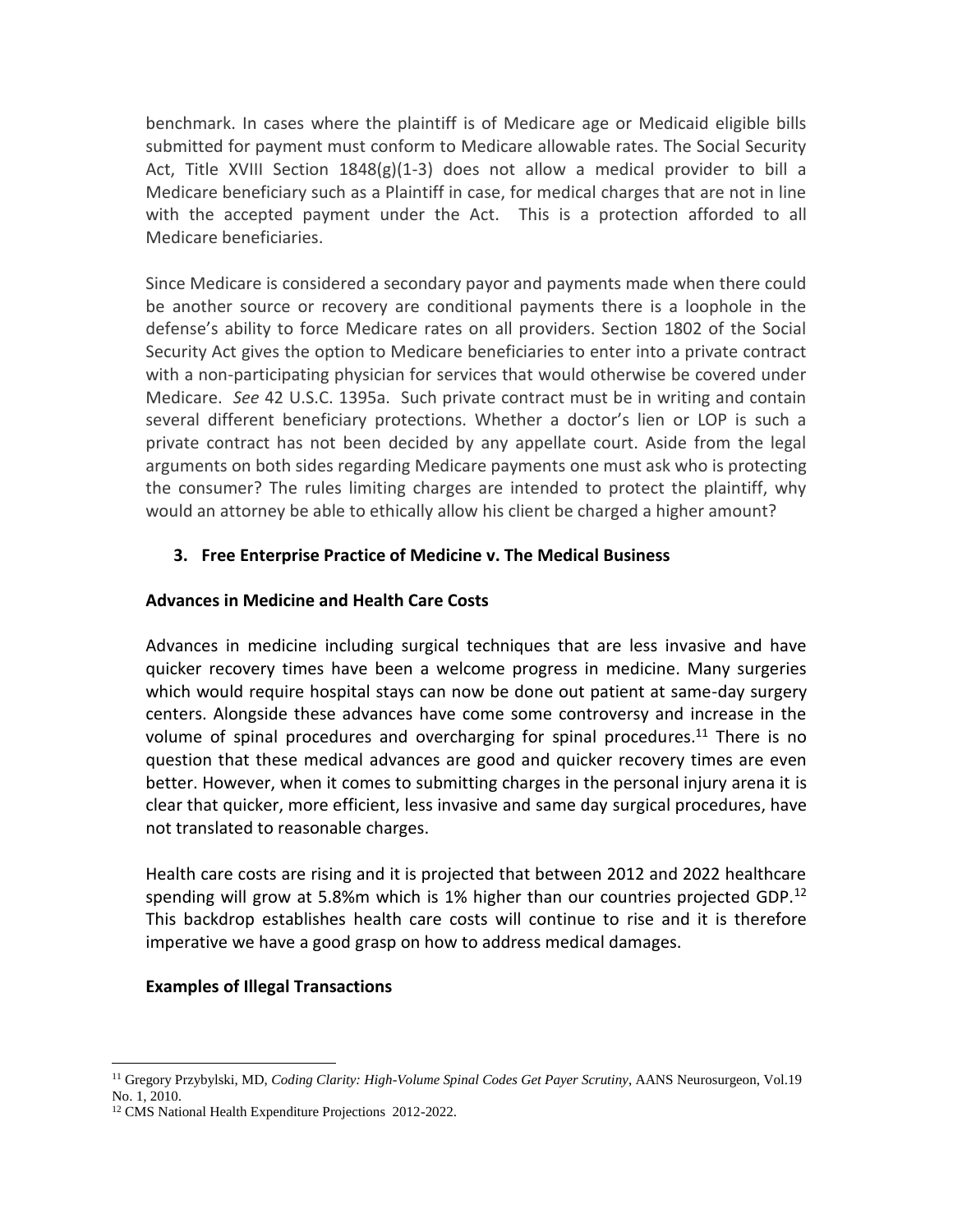benchmark. In cases where the plaintiff is of Medicare age or Medicaid eligible bills submitted for payment must conform to Medicare allowable rates. The Social Security Act, Title XVIII Section  $1848(g)(1-3)$  does not allow a medical provider to bill a Medicare beneficiary such as a Plaintiff in case, for medical charges that are not in line with the accepted payment under the Act. This is a protection afforded to all Medicare beneficiaries.

Since Medicare is considered a secondary payor and payments made when there could be another source or recovery are conditional payments there is a loophole in the defense's ability to force Medicare rates on all providers. Section 1802 of the Social Security Act gives the option to Medicare beneficiaries to enter into a private contract with a non-participating physician for services that would otherwise be covered under Medicare. *See* 42 U.S.C. 1395a. Such private contract must be in writing and contain several different beneficiary protections. Whether a doctor's lien or LOP is such a private contract has not been decided by any appellate court. Aside from the legal arguments on both sides regarding Medicare payments one must ask who is protecting the consumer? The rules limiting charges are intended to protect the plaintiff, why would an attorney be able to ethically allow his client be charged a higher amount?

# **3. Free Enterprise Practice of Medicine v. The Medical Business**

## **Advances in Medicine and Health Care Costs**

Advances in medicine including surgical techniques that are less invasive and have quicker recovery times have been a welcome progress in medicine. Many surgeries which would require hospital stays can now be done out patient at same-day surgery centers. Alongside these advances have come some controversy and increase in the volume of spinal procedures and overcharging for spinal procedures.<sup>11</sup> There is no question that these medical advances are good and quicker recovery times are even better. However, when it comes to submitting charges in the personal injury arena it is clear that quicker, more efficient, less invasive and same day surgical procedures, have not translated to reasonable charges.

Health care costs are rising and it is projected that between 2012 and 2022 healthcare spending will grow at 5.8%m which is 1% higher than our countries projected GDP.<sup>12</sup> This backdrop establishes health care costs will continue to rise and it is therefore imperative we have a good grasp on how to address medical damages.

## **Examples of Illegal Transactions**

<sup>11</sup> Gregory Przybylski, MD, *Coding Clarity: High-Volume Spinal Codes Get Payer Scrutiny*, AANS Neurosurgeon, Vol.19 No. 1, 2010.

<sup>&</sup>lt;sup>12</sup> CMS National Health Expenditure Projections 2012-2022.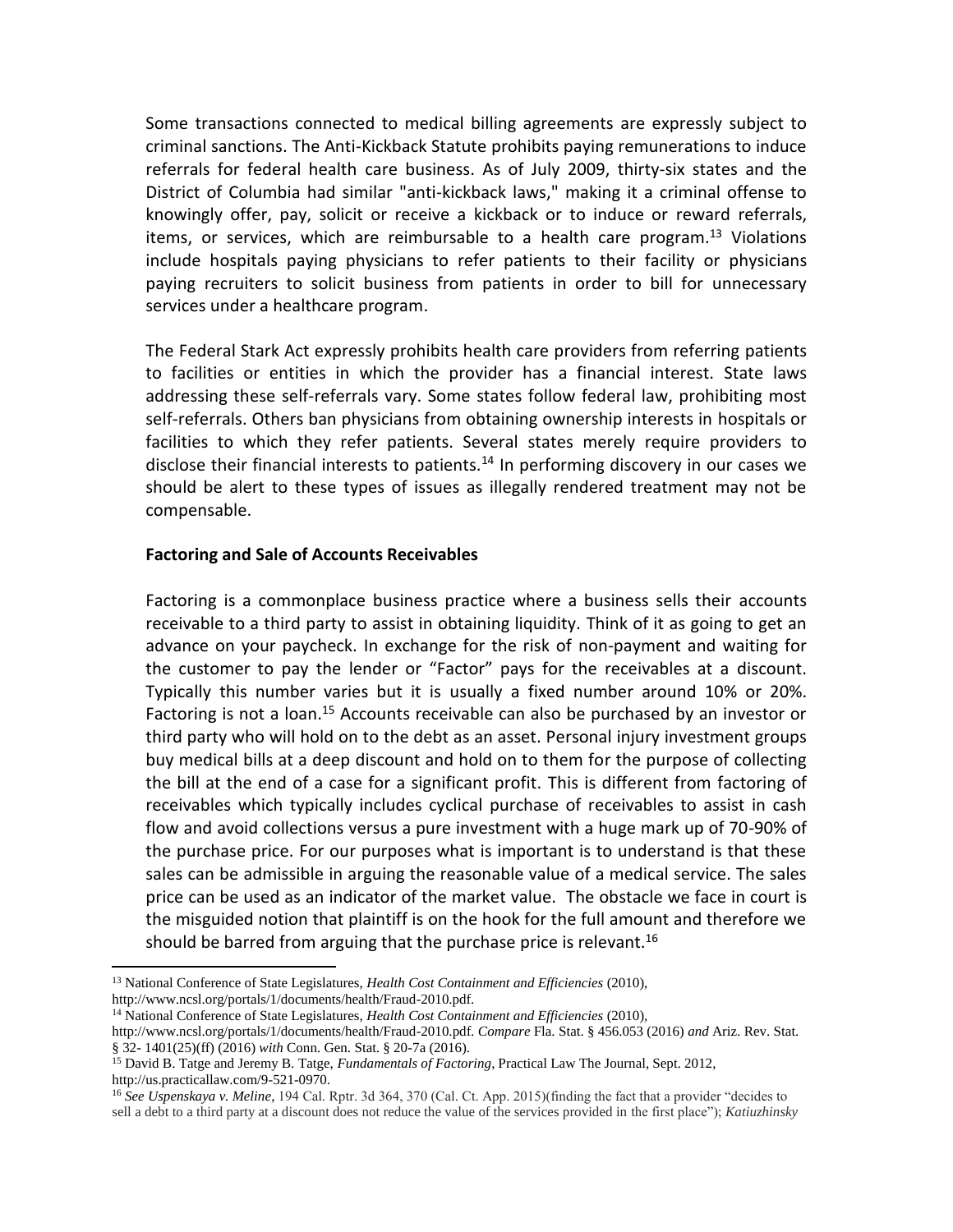Some transactions connected to medical billing agreements are expressly subject to criminal sanctions. The Anti-Kickback Statute prohibits paying remunerations to induce referrals for federal health care business. As of July 2009, thirty-six states and the District of Columbia had similar "anti-kickback laws," making it a criminal offense to knowingly offer, pay, solicit or receive a kickback or to induce or reward referrals, items, or services, which are reimbursable to a health care program.<sup>13</sup> Violations include hospitals paying physicians to refer patients to their facility or physicians paying recruiters to solicit business from patients in order to bill for unnecessary services under a healthcare program.

The Federal Stark Act expressly prohibits health care providers from referring patients to facilities or entities in which the provider has a financial interest. State laws addressing these self-referrals vary. Some states follow federal law, prohibiting most self-referrals. Others ban physicians from obtaining ownership interests in hospitals or facilities to which they refer patients. Several states merely require providers to disclose their financial interests to patients.<sup>14</sup> In performing discovery in our cases we should be alert to these types of issues as illegally rendered treatment may not be compensable.

#### **Factoring and Sale of Accounts Receivables**

Factoring is a commonplace business practice where a business sells their accounts receivable to a third party to assist in obtaining liquidity. Think of it as going to get an advance on your paycheck. In exchange for the risk of non-payment and waiting for the customer to pay the lender or "Factor" pays for the receivables at a discount. Typically this number varies but it is usually a fixed number around 10% or 20%. Factoring is not a loan.<sup>15</sup> Accounts receivable can also be purchased by an investor or third party who will hold on to the debt as an asset. Personal injury investment groups buy medical bills at a deep discount and hold on to them for the purpose of collecting the bill at the end of a case for a significant profit. This is different from factoring of receivables which typically includes cyclical purchase of receivables to assist in cash flow and avoid collections versus a pure investment with a huge mark up of 70-90% of the purchase price. For our purposes what is important is to understand is that these sales can be admissible in arguing the reasonable value of a medical service. The sales price can be used as an indicator of the market value. The obstacle we face in court is the misguided notion that plaintiff is on the hook for the full amount and therefore we should be barred from arguing that the purchase price is relevant.<sup>16</sup>

<sup>13</sup> National Conference of State Legislatures, *Health Cost Containment and Efficiencies* (2010), http://www.ncsl.org/portals/1/documents/health/Fraud-2010.pdf.

<sup>14</sup> National Conference of State Legislatures, *Health Cost Containment and Efficiencies* (2010),

http://www.ncsl.org/portals/1/documents/health/Fraud-2010.pdf. *Compare* Fla. Stat. § 456.053 (2016) *and* Ariz. Rev. Stat. § 32- 1401(25)(ff) (2016) *with* Conn. Gen. Stat. § 20-7a (2016).

<sup>15</sup> David B. Tatge and Jeremy B. Tatge, *Fundamentals of Factoring*, Practical Law The Journal, Sept. 2012, http://us.practicallaw.com/9-521-0970.

<sup>16</sup> *See Uspenskaya v. Meline*, 194 Cal. Rptr. 3d 364, 370 (Cal. Ct. App. 2015)(finding the fact that a provider "decides to sell a debt to a third party at a discount does not reduce the value of the services provided in the first place"); *Katiuzhinsky*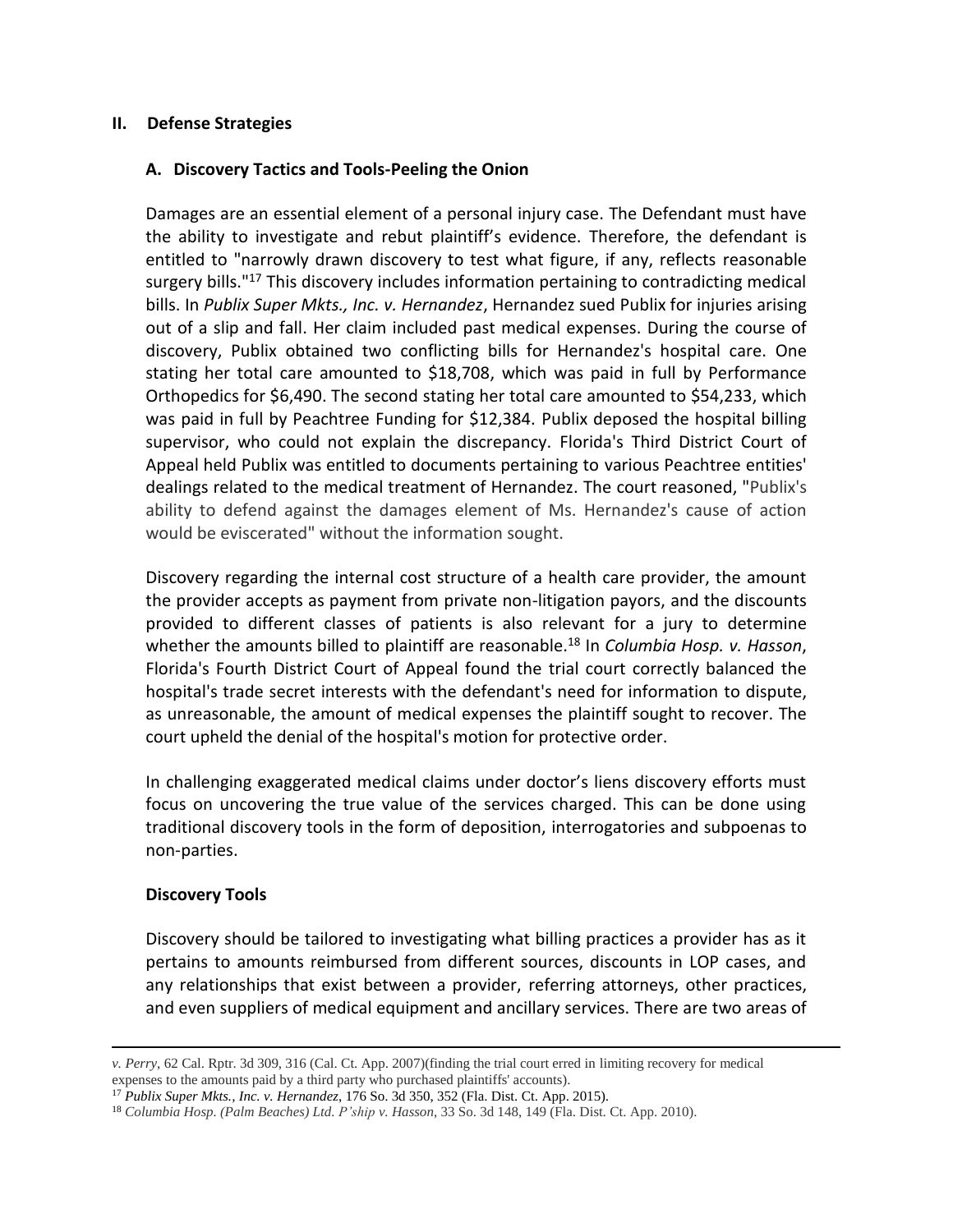### **II. Defense Strategies**

### **A. Discovery Tactics and Tools-Peeling the Onion**

Damages are an essential element of a personal injury case. The Defendant must have the ability to investigate and rebut plaintiff's evidence. Therefore, the defendant is entitled to "narrowly drawn discovery to test what figure, if any, reflects reasonable surgery bills."<sup>17</sup> This discovery includes information pertaining to contradicting medical bills. In *Publix Super Mkts., Inc. v. Hernandez*, Hernandez sued Publix for injuries arising out of a slip and fall. Her claim included past medical expenses. During the course of discovery, Publix obtained two conflicting bills for Hernandez's hospital care. One stating her total care amounted to \$18,708, which was paid in full by Performance Orthopedics for \$6,490. The second stating her total care amounted to \$54,233, which was paid in full by Peachtree Funding for \$12,384. Publix deposed the hospital billing supervisor, who could not explain the discrepancy. Florida's Third District Court of Appeal held Publix was entitled to documents pertaining to various Peachtree entities' dealings related to the medical treatment of Hernandez. The court reasoned, "Publix's ability to defend against the damages element of Ms. Hernandez's cause of action would be eviscerated" without the information sought.

Discovery regarding the internal cost structure of a health care provider, the amount the provider accepts as payment from private non-litigation payors, and the discounts provided to different classes of patients is also relevant for a jury to determine whether the amounts billed to plaintiff are reasonable.<sup>18</sup> In *Columbia Hosp. v. Hasson*, Florida's Fourth District Court of Appeal found the trial court correctly balanced the hospital's trade secret interests with the defendant's need for information to dispute, as unreasonable, the amount of medical expenses the plaintiff sought to recover. The court upheld the denial of the hospital's motion for protective order.

In challenging exaggerated medical claims under doctor's liens discovery efforts must focus on uncovering the true value of the services charged. This can be done using traditional discovery tools in the form of deposition, interrogatories and subpoenas to non-parties.

## **Discovery Tools**

 $\overline{\phantom{a}}$ 

Discovery should be tailored to investigating what billing practices a provider has as it pertains to amounts reimbursed from different sources, discounts in LOP cases, and any relationships that exist between a provider, referring attorneys, other practices, and even suppliers of medical equipment and ancillary services. There are two areas of

*v. Perry*, 62 Cal. Rptr. 3d 309, 316 (Cal. Ct. App. 2007)(finding the trial court erred in limiting recovery for medical expenses to the amounts paid by a third party who purchased plaintiffs' accounts).

<sup>17</sup> *Publix Super Mkts., Inc. v. Hernandez*, 176 So. 3d 350, 352 (Fla. Dist. Ct. App. 2015).

<sup>18</sup> *Columbia Hosp. (Palm Beaches) Ltd. P'ship v. Hasson*, 33 So. 3d 148, 149 (Fla. Dist. Ct. App. 2010).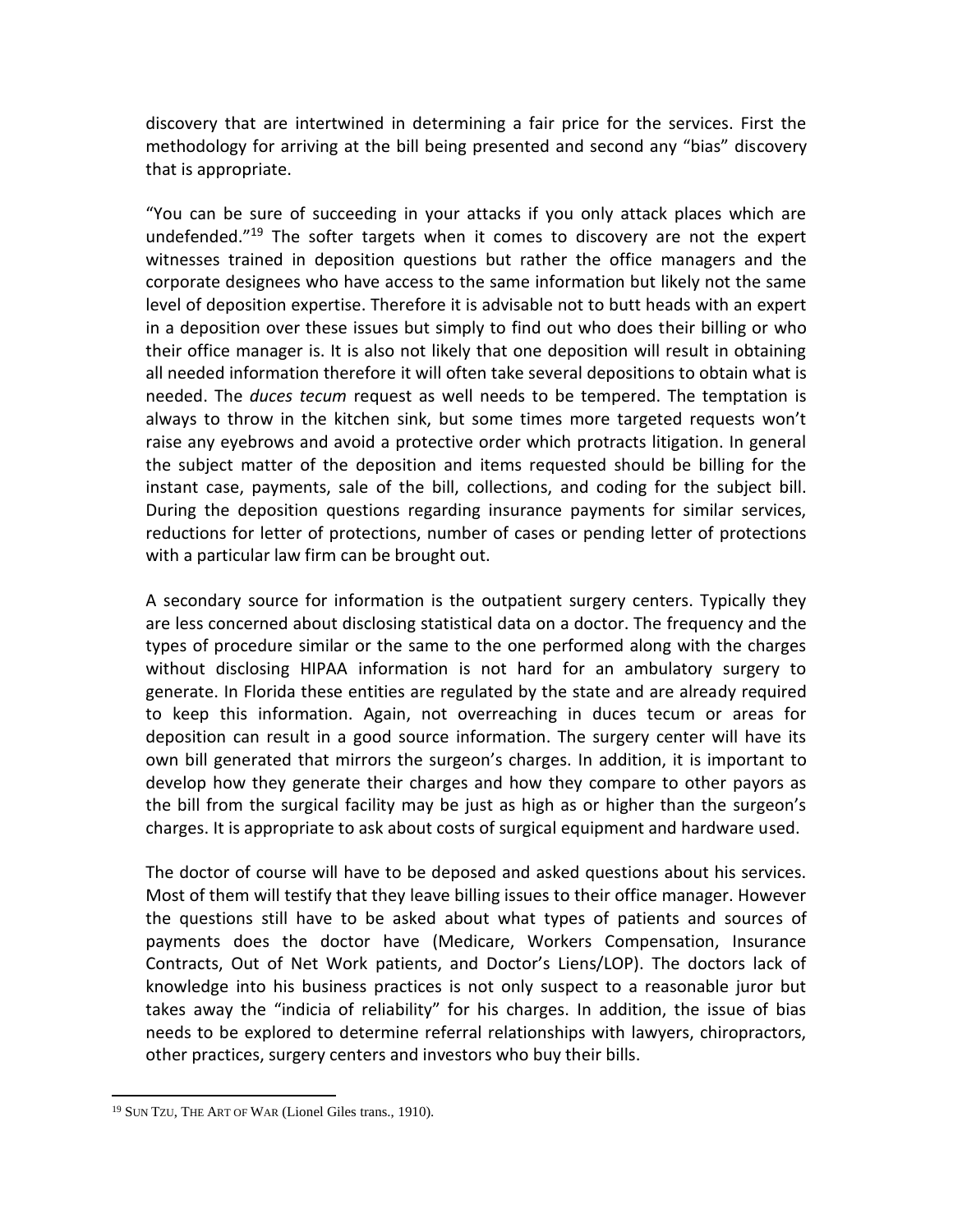discovery that are intertwined in determining a fair price for the services. First the methodology for arriving at the bill being presented and second any "bias" discovery that is appropriate.

"You can be sure of succeeding in your attacks if you only attack places which are undefended.<sup>"19</sup> The softer targets when it comes to discovery are not the expert witnesses trained in deposition questions but rather the office managers and the corporate designees who have access to the same information but likely not the same level of deposition expertise. Therefore it is advisable not to butt heads with an expert in a deposition over these issues but simply to find out who does their billing or who their office manager is. It is also not likely that one deposition will result in obtaining all needed information therefore it will often take several depositions to obtain what is needed. The *duces tecum* request as well needs to be tempered. The temptation is always to throw in the kitchen sink, but some times more targeted requests won't raise any eyebrows and avoid a protective order which protracts litigation. In general the subject matter of the deposition and items requested should be billing for the instant case, payments, sale of the bill, collections, and coding for the subject bill. During the deposition questions regarding insurance payments for similar services, reductions for letter of protections, number of cases or pending letter of protections with a particular law firm can be brought out.

A secondary source for information is the outpatient surgery centers. Typically they are less concerned about disclosing statistical data on a doctor. The frequency and the types of procedure similar or the same to the one performed along with the charges without disclosing HIPAA information is not hard for an ambulatory surgery to generate. In Florida these entities are regulated by the state and are already required to keep this information. Again, not overreaching in duces tecum or areas for deposition can result in a good source information. The surgery center will have its own bill generated that mirrors the surgeon's charges. In addition, it is important to develop how they generate their charges and how they compare to other payors as the bill from the surgical facility may be just as high as or higher than the surgeon's charges. It is appropriate to ask about costs of surgical equipment and hardware used.

The doctor of course will have to be deposed and asked questions about his services. Most of them will testify that they leave billing issues to their office manager. However the questions still have to be asked about what types of patients and sources of payments does the doctor have (Medicare, Workers Compensation, Insurance Contracts, Out of Net Work patients, and Doctor's Liens/LOP). The doctors lack of knowledge into his business practices is not only suspect to a reasonable juror but takes away the "indicia of reliability" for his charges. In addition, the issue of bias needs to be explored to determine referral relationships with lawyers, chiropractors, other practices, surgery centers and investors who buy their bills.

<sup>19</sup> SUN TZU, THE ART OF WAR (Lionel Giles trans., 1910).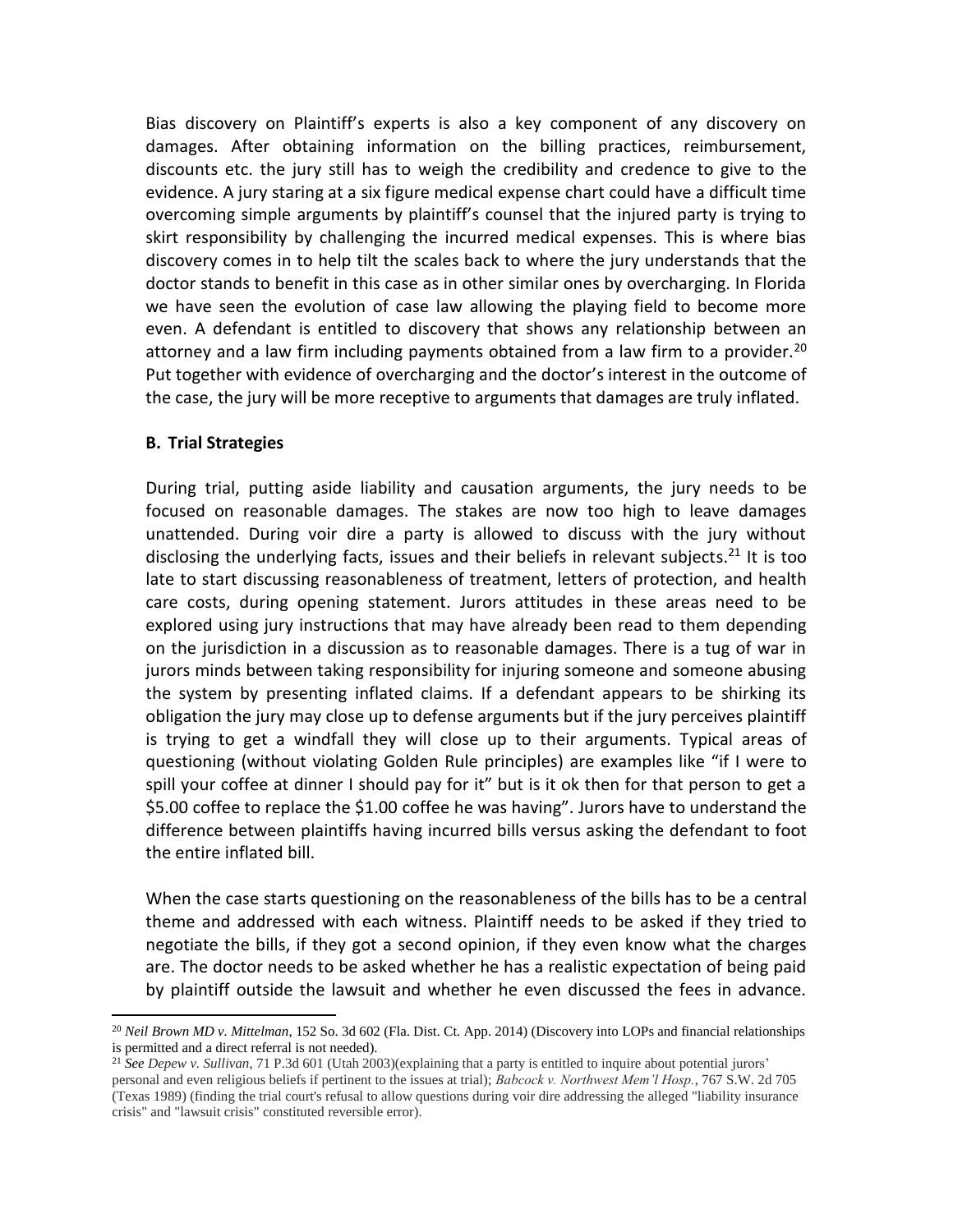Bias discovery on Plaintiff's experts is also a key component of any discovery on damages. After obtaining information on the billing practices, reimbursement, discounts etc. the jury still has to weigh the credibility and credence to give to the evidence. A jury staring at a six figure medical expense chart could have a difficult time overcoming simple arguments by plaintiff's counsel that the injured party is trying to skirt responsibility by challenging the incurred medical expenses. This is where bias discovery comes in to help tilt the scales back to where the jury understands that the doctor stands to benefit in this case as in other similar ones by overcharging. In Florida we have seen the evolution of case law allowing the playing field to become more even. A defendant is entitled to discovery that shows any relationship between an attorney and a law firm including payments obtained from a law firm to a provider.<sup>20</sup> Put together with evidence of overcharging and the doctor's interest in the outcome of the case, the jury will be more receptive to arguments that damages are truly inflated.

#### **B. Trial Strategies**

 $\overline{\phantom{a}}$ 

During trial, putting aside liability and causation arguments, the jury needs to be focused on reasonable damages. The stakes are now too high to leave damages unattended. During voir dire a party is allowed to discuss with the jury without disclosing the underlying facts, issues and their beliefs in relevant subjects.<sup>21</sup> It is too late to start discussing reasonableness of treatment, letters of protection, and health care costs, during opening statement. Jurors attitudes in these areas need to be explored using jury instructions that may have already been read to them depending on the jurisdiction in a discussion as to reasonable damages. There is a tug of war in jurors minds between taking responsibility for injuring someone and someone abusing the system by presenting inflated claims. If a defendant appears to be shirking its obligation the jury may close up to defense arguments but if the jury perceives plaintiff is trying to get a windfall they will close up to their arguments. Typical areas of questioning (without violating Golden Rule principles) are examples like "if I were to spill your coffee at dinner I should pay for it" but is it ok then for that person to get a \$5.00 coffee to replace the \$1.00 coffee he was having". Jurors have to understand the difference between plaintiffs having incurred bills versus asking the defendant to foot the entire inflated bill.

When the case starts questioning on the reasonableness of the bills has to be a central theme and addressed with each witness. Plaintiff needs to be asked if they tried to negotiate the bills, if they got a second opinion, if they even know what the charges are. The doctor needs to be asked whether he has a realistic expectation of being paid by plaintiff outside the lawsuit and whether he even discussed the fees in advance.

<sup>20</sup> *Neil Brown MD v. Mittelman*, 152 So. 3d 602 (Fla. Dist. Ct. App. 2014) (Discovery into LOPs and financial relationships is permitted and a direct referral is not needed).

<sup>21</sup> *See Depew v. Sullivan*, 71 P.3d 601 (Utah 2003)(explaining that a party is entitled to inquire about potential jurors' personal and even religious beliefs if pertinent to the issues at trial); *Babcock v. Northwest Mem'l Hosp.*, 767 S.W. 2d 705 (Texas 1989) (finding the trial court's refusal to allow questions during voir dire addressing the alleged "liability insurance crisis" and "lawsuit crisis" constituted reversible error).